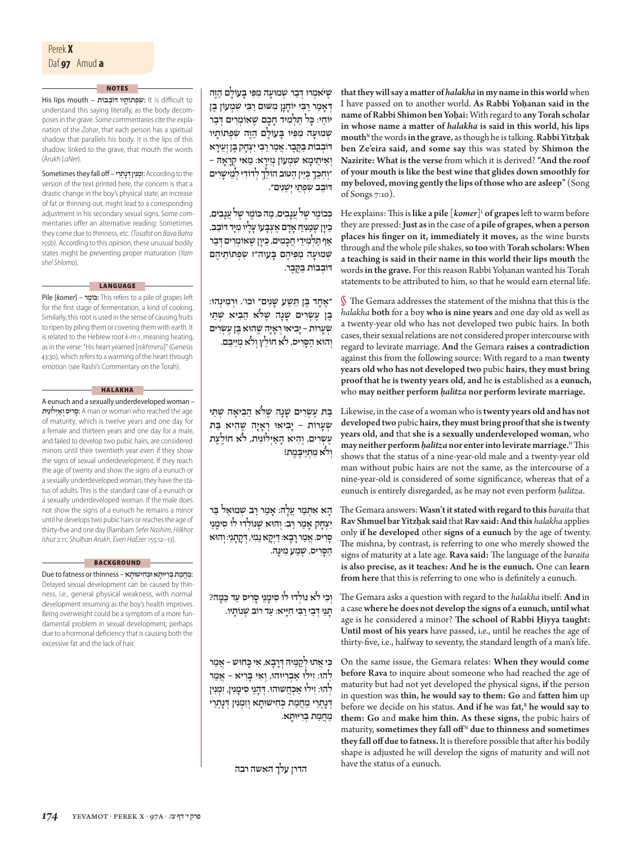# Perek **X** Daf **97** Amud **a**

#### **NOTES**

 His lips mouth – **וֹבבוֹתְ דּ תוֹתיוָ פְשִׂ** : It is difficult to understand this saying literally, as the body decomposes in the grave. Some commentaries cite the explanation of the *Zohar*, that each person has a spiritual shadow that parallels his body. It is the lips of this shadow, linked to the grave, that mouth the words (*Arukh LaNer*).

 the to According **ִ**:**ז ְמִנין ְ ּדָנְתֵרי** – off fall they Sometimes version of the text printed here, the concern is that a drastic change in the boy's physical state, an increase of fat or thinning out, might lead to a corresponding adjustment in his secondary sexual signs. Some commentaries offer an alternative reading: Sometimes they come due to thinness, etc. (*Tosafot* on *Bava Batra* 155b). According to this opinion, these unusual bodily states might be preventing proper maturation (*Yam shel Shlomo*).

## **LANGUAGE**

 Pile [*komer*] – **וֹמרֶ כּ** : This refers to a pile of grapes left for the first stage of fermentation, a kind of cooking. Similarly, this root is used in the sense of causing fruits to ripen by piling them or covering them with earth. It is related to the Hebrew root *k-m-r*, meaning heating, as in the verse:"His heart yearned [*nikhmeru*]" (Genesis 43:30), which refers to a warming of the heart through emotion (see Rashi's Commentary on the Torah).

#### **HALAKHA**

 A eunuch and a sexually underdeveloped woman – **לוֹניתִ יְאַוְריסִסָ**: A man or woman who reached the age of maturity, which is twelve years and one day for a female and thirteen years and one day for a male, and failed to develop two pubic hairs, are considered minors until their twentieth year even if they show the signs of sexual underdevelopment. If they reach the age of twenty and show the signs of a eunuch or a sexually underdeveloped woman, they have the status of adults. This is the standard case of a eunuch or a sexually underdeveloped woman. If the male does not show the signs of a eunuch he remains a minor until he develops two pubic hairs or reaches the age of thirty-five and one day (Rambam *Sefer Nashim*, *Hilkhot Ishut* 2:11; *Shulĥan Arukh*, *Even HaEzer* 155:12–13).

## **BACKGROUND**

**ּמֵחֲמַת בְּרִיּוּתָא וּכְּחִישׁוּתָא – Due to fatness or thinness** Delayed sexual development can be caused by thinness, i.e., general physical weakness, with normal development resuming as the boy's health improves. Being overweight could be a symptom of a more fundamental problem in sexual development, perhaps due to a hormonal deficiency that is causing both the excessive fat and the lack of hair.

**ֶׁשיֹּ ְאמ ּרו ְ ּדַבר ׁ ְש ּמוָעה ִמִּפי ָּב ָעוֹלם ַהֶזּה ְ ּדָאַמרַרִּבי ָ יוֹחָנן ִמּׁשּום ַרִּבי ׁ ִשְמעוֹן ֶּבן ּכל ַּתְל ִמיד ָחָכם ֶׁש ְאוֹמִרים ְ ּדַבר ַ יוֹחי: ָ ׁ ְש ּמוָעה ִמִּפיו ָּב ָעוֹלם ַהֶזּה ִׂשְפ ָתוֹתיו ּד ְוֹבבוֹת ַּבֶּקֶבר. ֲאַמרַרִּבי ִי ְצָחק ֶּבן ְזֵעָירא ְו ִא ֵית ָימא ׁ ִשְמעוֹן ְנִזָירא: ַמאי ְקָרָא ּה – ּכֵיין ַה ּטוֹב ֵהוֹל ְך ְל ִדוֹדי ְלֵמ ָׁ ישִרים ּכ ְך ְ ְ״ו ִחֵ ּד ֵוֹבב ִׂשְפֵתי ְיֵׁשִנים״.** 

**ּכ ֶכוֹמר ֶׁשלֲעָנִבים, ַמה ּכ ֶוֹמר ֶׁשלֲעָנִבים, ְ ּניח ָאָדם ֶא ְצָּבעוֹ ָעָליו ִמָיּד ּד ֵוֹבב, ּכָיון ֶׁשַּמִ ֵ ּכָיון ֶׁש ְאוֹמִרים ְ ּדַבר ַאף ַּתְל ִמ ֵידיֲחָכ ִמים, ֵ ׁ ְש ּמוָעה ִמִּפ ֶיהם ָּבעוה״ז ִׂשְפ ֵתוֹת ֶיהם ּד ְוֹבבוֹת ַּבֶּקֶבר.**

**ֶ״אָחד ֶּבן ֵּתַׁשע ָׁשִנים״ וכו׳. ּוְרִמ ְינ ּהו: ֶּבן ֶע ְׂשִרים ָׁשָנה ֶׁש ּלֹא ֵה ִביא ׁ ְש ֵּתי ְׂשָערוֹת – ָי ִב ּ יאו ְרָאָיה ֶׁש ּהוא ֶּבן ֶע ְׂשִרים ְו ּהוא ַה ָּסִריס, לֹא ֵחוֹלץ ְולֹא ְמַי ֵּיבם.**

**ַּבת ֶע ְׂשִרים ָׁשָנה ֶׁש ּלֹא ֵה ִב ָיאה ׁ ְש ֵּתי ְׂשָערוֹת – ָי ִב ּ יאו ְרָאָיה ֶׁש ִהיא ַּבת ֶע ְׂשִרים, ְו ִהיא ָהַאְי ִלוֹנית, לֹא ֶחוֹלֶצת ְולֹא ִמ ְתַי ֶּיבֶמת!**

**ָהא ִא ְּתַמר ֲעָל ּה: ָאַמרַרב ׁ ְש ּמוֵאל ַּבר ִי ְצָחק ָאַמרַרב: ְו ּהוא ֶׁשּנ ְוֹל ּדו לוֹ ִס ָימֵני ָסִריס. ֲאַמרָרָבא: ַּדְיָקאַנִמי, ְ ּדָקָתֵני: ְו ּהוא ַה ָּסִריס, ׁ ְשַמע ִמ ָּינ ּה.**

**ּכ ָּמה? ְו ִכי לֹא ְנוֹל ּדו לוֹ ִס ָימֵני ָסִריס ַעד ַ ָּתֵני ְ ּדֵביַרִּבי ִחָיּיא: ַעד רוֹב ׁ ְש ָ נוֹתיו.**

**ּכ ּחו ׁש – ֲאַמר ּכיֲא ּתו ְלַק ֵּמ ּיה ְ ּדָרָבא, ִאי ָ ִ ְל ּהו: ִז ּ ילו ַא ְבִר ּיו ּהו, ְו ִאי ָּבִריא – ֲאַמר ְל ּהו: ִז ּ ילו ַא ְכֲחׁשּו ּהו. ְ ּדָהֵני ִס ָימִנין, ִז ְמִנין ּכ ִח ׁישּוָתא ְוִז ְמִנין ְ ּדָנְתֵרי ְ ּדָנְתֵרי ֵמֲחַמת ְ ֵמֲחַמת ְּבִר ּיּוָתא.**

**הדרן עלך האשה רבה**

**that they will say a matt er of** *halakha* **in my name in this world** when I have passed on to another world. **As Rabbi Yoĥanan said in the name of Rabbi Shimon ben Yoĥai:** With regard to **any Torah scholar**  in whose name a matter of *halakha* is said in this world, his lips  $m$ **outh**<sup>N</sup> the words **in the grave**, as though he is talking. **Rabbi Yitzhak ben Ze'eira said, and some say** this was stated by **Shimon the Nazirite: What is the verse** from which it is derived? **"And the roof of your mouth is like the best wine that glides down smoothly for my beloved, moving gently the lips of those who are asleep"** (Song of Songs 7:10).

He explains: This is like a pile  $\lceil$ *komer* $\rceil$ <sup>L</sup> of grapes left to warm before they are pressed: **Just as** in the case of **a pile of grapes, when a person places his fi nger on it, immediately it moves,** as the wine bursts through and the whole pile shakes, **so too** with**Torah scholars: When a teaching is said in their name in this world their lips mouth** the words **in the grave.** For this reason Rabbi Yoĥanan wanted his Torah statements to be attributed to him, so that he would earn eternal life.

 $\S$  The Gemara addresses the statement of the mishna that this is the *halakha* **both** for a boy **who is nine years** and one day old as well as a twenty-year old who has not developed two pubic hairs. In both cases, their sexual relations are not considered proper intercourse with regard to levirate marriage. **And** the Gemara **raises a contradiction**  against this from the following source: With regard to a man **twenty years old who has not developed two** pubic **hairs, they must bring proof that he is twenty years old, and** he **is** established as **a eunuch,**  who **may neither perform** *ĥalitza* **nor perform levirate marriage.**

Likewise, in the case of a woman who is **twenty years old and has not developed two** pubic **hairs, they must bring proof that she is twenty years old, and** that **she is a sexually underdeveloped woman,** who may neither perform *halitza* nor enter into levirate marriage.<sup> $#$ </sup>This shows that the status of a nine-year-old male and a twenty-year old man without pubic hairs are not the same, as the intercourse of a nine-year-old is considered of some significance, whereas that of a eunuch is entirely disregarded, as he may not even perform *ĥalitza*.

The Gemara answers: Wasn't it stated with regard to this *baraita* that **Rav Shmuel bar Yitzĥak said** that**Rav said: And this** *halakha* applies only **if he developed** other **signs of a eunuch** by the age of twenty. The mishna, by contrast, is referring to one who merely showed the signs of maturity at a late age. Rava said: The language of the *baraita* **is also precise, as it teaches: And he is the eunuch.** One can **learn**  from here that this is referring to one who is definitely a eunuch.

The Gemara asks a question with regard to the *halakha* itself: And in a case **where he does not develop the signs of a eunuch, until what**  age is he considered a minor? **Th e school of Rabbi Ĥiyya taught: Until most of his years** have passed, i.e., until he reaches the age of thirty-five, i.e., halfway to seventy, the standard length of a man's life.

On the same issue, the Gemara relates: **When they would come before Rava** to inquire about someone who had reached the age of maturity but had not yet developed the physical signs, **if** the person in question was thin, he would say to them: Go and fatten him up before we decide on his status. And if he was fat,<sup>B</sup> he would say to **them: Go** and **make him thin. As these signs,** the pubic hairs of maturity, sometimes they fall off<sup>N</sup> due to thinness and sometimes they fall off due to fatness. It is therefore possible that after his bodily shape is adjusted he will develop the signs of maturity and will not have the status of a eunuch.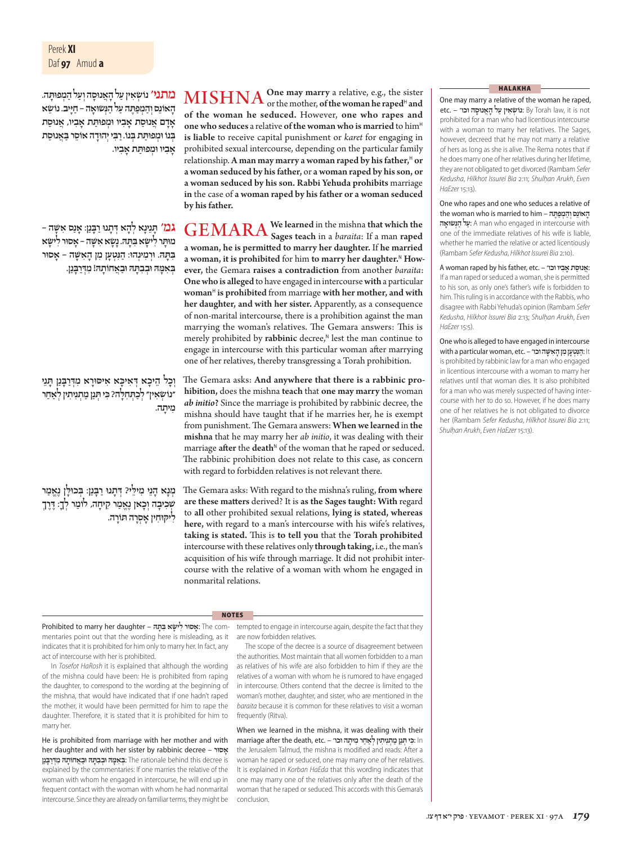**מתני׳ ְׂ נוֹש ִאין ַעל ָהֲא ּנוָסה ְוַעל ַה ְמ ּפו ָּתה. ּנ ׂשּוָאה – ַחָיּיב. ֵׂ נוֹשא ָה ֵאוֹנס ְוַה ְמַפ ֶּתה ַעל ַהְ ָאָדם ֲא ּנוַסת ָא ִביו ּו ְמ ּפו ַּתת ָא ִביו, ֲא ּנוַסת ְּבנוֹ ּו ְמ ּפו ַּתת ְּבנוֹ. ַרִּבי ְי ּהוָדה ֵאוֹסר ַּבֲא ּנוַסת ָא ִביו ּו ְמ ּפו ַּתת ָא ִביו.**

**גמ׳ ָּתֵנָינא ְלָהא ְ ּדָת ּנוַרָּבַנן: ָאַנס ִאָּׁשה – ּמו ָּתר ִל ָּׂ ישא ִּב ָּת ּה. ָנָׂשא ִאָּׁשה – ָא ּסור ִל ָּׂ ישא ּנְטָען ִמן ָה ִאָּׁשה – ָא ּסור ִּב ָּת ּה. ּוְרִמ ְינ ּהו: ַהִ ְּב ִא ָּמ ּה ּוְב ִב ָּת ּה ּוַבֲא ָחוֹת ּה! ִמְ ּדַרָּבַנן.** 

**ּיכא ִא ּיסּוָרא ִמְ ּדַרָּבַנן ָּתֵני ְוָכל ֵה ָיכא ְ ּד ִא ָ ּכי ְּתַנן ַמ ְתִנ ִיתין ְלַאַחר ְׂ ״נוֹש ִאין״ ְלַכ ְּת ִחָּלה? ִ ִמ ָיתה.**

**ְמָנא ָהֵני ִמ ֵּילי? ְ ּדָת ּנו ַרָּבַנן: ְּב ּכוָּלן ֶנֱאַמר ׁ ְשִכ ָיבה ְוָכאן ֶנֱאַמר ִק ָיחה, ַלוֹמר ְלָך: ֶּדֶרְך ִל ּיקּו ִחין ָא ְסָרה ּתָוֹרה.** 

 $\bf{MISHNA}$  One may marry a relative, e.g., the sister or  $\bf{MISHNA}$  or the mother, of the woman he raped<sup>H</sup> and **of the woman he seduced.** However, **one who rapes and one who seduces** a relative of the woman who is married to him<sup>H</sup> **is liable** to receive capital punishment or *karet* for engaging in prohibited sexual intercourse, depending on the particular family relationship. **A man may marry a woman raped by his father,<sup>H</sup> or a woman seduced by his father,** or **a woman raped by his son, or a woman seduced by his son. Rabbi Yehuda prohibits** marriage **in** the case of **a woman raped by his father or a woman seduced by his father.**

gemara **We learned** in the mishna **that which the Sages teach** in a *baraita*: If a man **raped**  a woman, he is permitted to marry her daughter. If he married a woman, it is prohibited for him to marry her daughter.<sup>N</sup> How**ever,** the Gemara **raises a contradiction** from another *baraita*: **One who is alleged** to have engaged in intercourse **with** a particular **woman**<sup>H</sup>**is prohibited** from marriage **with her mother, and with her daughter, and with her sister.** Apparently, as a consequence of non-marital intercourse, there is a prohibition against the man marrying the woman's relatives. The Gemara answers: This is merely prohibited by *rabbinic* decree,<sup>N</sup> lest the man continue to engage in intercourse with this particular woman after marrying one of her relatives, thereby transgressing a Torah prohibition.

The Gemara asks: And anywhere that there is a rabbinic pro**hibition,** does the mishna **teach** that **one may marry** the woman *ab initio***?** Since the marriage is prohibited by rabbinic decree, the mishna should have taught that if he marries her, he is exempt from punishment. The Gemara answers: When we learned in the **mishna** that he may marry her *ab initio*, it was dealing with their marriage after the death<sup>N</sup> of the woman that he raped or seduced. The rabbinic prohibition does not relate to this case, as concern with regard to forbidden relatives is not relevant there.

The Gemara asks: With regard to the mishna's ruling, from where are these matters derived? It is as the Sages taught: With regard to **all** other prohibited sexual relations, **lying is stated, whereas here,** with regard to a man's intercourse with his wife's relatives, taking is stated. This is to tell you that the Torah prohibited intercourse with these relatives only **through taking,** i.e., the man's acquisition of his wife through marriage. It did not prohibit intercourse with the relative of a woman with whom he engaged in nonmarital relations.

## **NOTES**

 Prohibited to marry her daughter – **הּ תָּ בִּ ישא ָּׂ לִ סורּ אָ**: The commentaries point out that the wording here is misleading, as it indicates that it is prohibited for him only to marry her. In fact, any act of intercourse with her is prohibited.

In *Tosefot HaRosh* it is explained that although the wording of the mishna could have been: He is prohibited from raping the daughter, to correspond to the wording at the beginning of the mishna, that would have indicated that if one hadn't raped the mother, it would have been permitted for him to rape the daughter. Therefore, it is stated that it is prohibited for him to marry her.

 He is prohibited from marriage with her mother and with her daughter and with her sister by rabbinic decree – **סורּ אָ** is decree this behind rationale The : **ְּב ִא ָּמ ּה ּוְב ִב ָּת ּה ּוַבֲא ָחוֹת ּה ִמְ ּדַרָּבַנן** explained by the commentaries: If one marries the relative of the woman with whom he engaged in intercourse, he will end up in frequent contact with the woman with whom he had nonmarital intercourse. Since they are already on familiar terms, they might be

tempted to engage in intercourse again, despite the fact that they are now forbidden relatives.

The scope of the decree is a source of disagreement between the authorities. Most maintain that all women forbidden to a man as relatives of his wife are also forbidden to him if they are the relatives of a woman with whom he is rumored to have engaged in intercourse. Others contend that the decree is limited to the woman's mother, daughter, and sister, who are mentioned in the *baraita* because it is common for these relatives to visit a woman frequently (Ritva).

 When we learned in the mishna, it was dealing with their **ּכי ְּתַנן ַמ ְתִנ ִיתין ְלַאַחר ִמ ָיתה וכו׳** – .etc ,death the after marriage **ִ** : In the Jerusalem Talmud, the mishna is modified and reads: After a woman he raped or seduced, one may marry one of her relatives. It is explained in *Korban HaEda* that this wording indicates that one may marry one of the relatives only after the death of the woman that he raped or seduced. This accords with this Gemara's conclusion.

#### **HALAKHA**

 One may marry a relative of the woman he raped, not is it ,law Torah By : **ְׂ נוֹש ִאין ַעל ָהֲא ּנוָסה וכו׳** – .etc prohibited for a man who had licentious intercourse with a woman to marry her relatives. The Sages, however, decreed that he may not marry a relative of hers as long as she is alive. The Rema notes that if he does marry one of her relatives during her lifetime, they are not obligated to get divorced (Rambam *Sefer Kedusha*, *Hilkhot Issurei Bia* 2:11; *Shulĥan Arukh*, *Even HaEzer* 15:13).

 One who rapes and one who seduces a relative of **ָה ֵאוֹנס ְוַה ְמַפ ֶּתה** – him to married is who woman the **ּנ ׂשּוָאה ְהַ עלַ**: A man who engaged in intercourse with one of the immediate relatives of his wife is liable, whether he married the relative or acted licentiously (Rambam *Sefer Kedusha*, *Hilkhot Issurei Bia* 2:10).

 A woman raped by his father, etc. – **וכו׳ ביוִ אָ סתַנוּ אֲ**: If a man raped or seduced a woman, she is permitted to his son, as only one's father's wife is forbidden to him. This ruling is in accordance with the Rabbis, who disagree with Rabbi Yehuda's opinion (Rambam *Sefer Kedusha*, *Hilkhot Issurei Bia* 2:13; *Shulĥan Arukh*, *Even HaEzer* 15:5).

 One who is alleged to have engaged in intercourse **ּנְטָען ִמן ָה ִאָּׁשה וכו׳** – .etc ,woman particular a with It **ַ**:**הִ** is prohibited by rabbinic law for a man who engaged in licentious intercourse with a woman to marry her relatives until that woman dies. It is also prohibited for a man who was merely suspected of having intercourse with her to do so. However, if he does marry one of her relatives he is not obligated to divorce her (Rambam *Sefer Kedusha*, *Hilkhot Issurei Bia* 2:11; *Shulĥan Arukh*, *Even HaEzer* 15:13).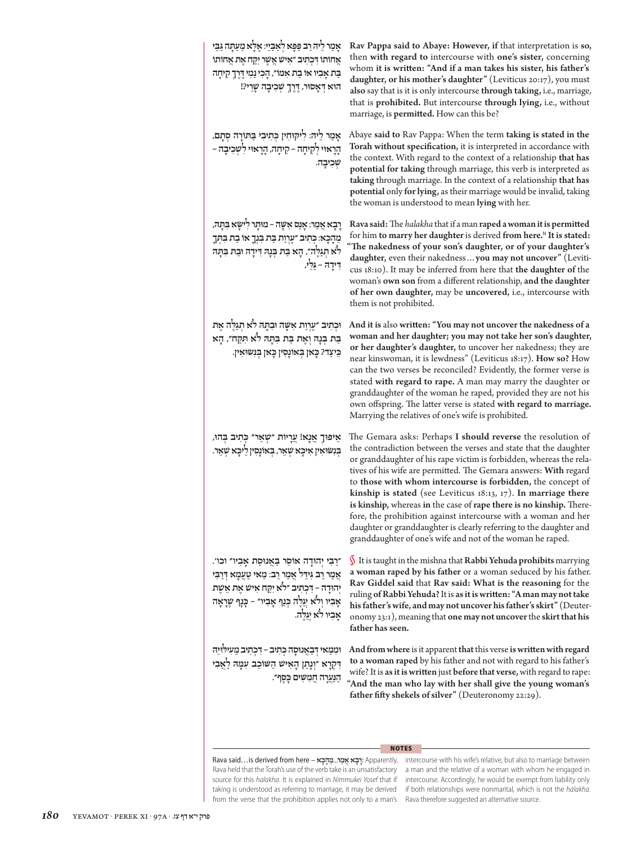| אָמַר לֵיהּ רַב פַּפָּא לְאַבֵּיֵי: אֶלָּא מֵעַתַּה גַּבֵּי<br>אֲחוֹתוֹ דְּכְתִיב "אִישׁ אֲשֶׁר יְקַח אֶת אֲחוֹתוֹ<br>בַּת אֲבִיו אוֹ בַת אִמּוֹ״, הָכִי נַמְי דֶּרֶךְ קִיחָה<br>הוא דְאָסוּר, דֶרֶךְ שְׁכִיבָה שָׁרֵי?!                     | Rav Pappa said to Abaye: However, if that interpretation is so,<br>then with regard to intercourse with one's sister, concerning<br>whom it is written: "And if a man takes his sister, his father's<br>daughter, or his mother's daughter" (Leviticus 20:17), you must<br>also say that is it is only intercourse through taking, i.e., marriage,<br>that is prohibited. But intercourse through lying, i.e., without<br>marriage, is permitted. How can this be?                                                                                                                                                                                                                          |
|----------------------------------------------------------------------------------------------------------------------------------------------------------------------------------------------------------------------------------------------|---------------------------------------------------------------------------------------------------------------------------------------------------------------------------------------------------------------------------------------------------------------------------------------------------------------------------------------------------------------------------------------------------------------------------------------------------------------------------------------------------------------------------------------------------------------------------------------------------------------------------------------------------------------------------------------------|
| אָמַר לֵיהָ: לִיקְוּחִין בְּתִיבִי בַּתּוֹרֶה סְתָם,<br>הָרָאוּי לְקִיחָה – קִיחָה, הָרָאוּי לִשְׁכִיבָה –<br>שְׁכִיבָה.                                                                                                                     | Abaye said to Rav Pappa: When the term taking is stated in the<br>Torah without specification, it is interpreted in accordance with<br>the context. With regard to the context of a relationship that has<br>potential for taking through marriage, this verb is interpreted as<br>taking through marriage. In the context of a relationship that has<br>potential only for lying, as their marriage would be invalid, taking<br>the woman is understood to mean lying with her.                                                                                                                                                                                                            |
| רָבָא אֲמַר: אָנַס אִשָּׁה – מוּתָּר לִישָּׂא בִּתָּה,<br>מֵהָכָא: כִּתִיב ״עֶרְוַת בַּת בִּנְךָ אוֹ בַת בִּתְּךָ<br>לֹא תִגַלֶּה״, הָא בַּת בִּנָהּ דִּידָהּ וּבַת בִּתָּה<br>דִּידַה – גּלי,                                               | Rava said: The halakha that if a man raped a woman it is permitted<br>for him to marry her daughter is derived from here. <sup>N</sup> It is stated:<br>"The nakedness of your son's daughter, or of your daughter's<br>daughter, even their nakedness  you may not uncover" (Leviti-<br>cus 18:10). It may be inferred from here that the daughter of the<br>woman's own son from a different relationship, and the daughter<br>of her own daughter, may be uncovered, i.e., intercourse with<br>them is not prohibited.                                                                                                                                                                   |
| וּכְתִיב ״עֶרְוַת אִשָּׁה וּבִתָּהּ לֹא תִגַלֶּה אֶת<br>בַּת בְּנָהּ וְאֶת בַּת בִּתָּה לֹא תִּקַח״, הָא<br>בֵּיצַד? כָּאן בְּאוֹנָסִין כָּאן בִּנְשׁוּאִין.                                                                                 | And it is also written: "You may not uncover the nakedness of a<br>woman and her daughter; you may not take her son's daughter,<br>or her daughter's daughter, to uncover her nakedness; they are<br>near kinswoman, it is lewdness" (Leviticus 18:17). How so? How<br>can the two verses be reconciled? Evidently, the former verse is<br>stated with regard to rape. A man may marry the daughter or<br>granddaughter of the woman he raped, provided they are not his<br>own offspring. The latter verse is stated with regard to marriage.<br>Marrying the relatives of one's wife is prohibited.                                                                                       |
| אֵיפּוּךְ אֲנָא! עֲרָיוֹת ״שְׁאֵר״ כְּתִיב בְּהוּ,<br>בְּנִשּׁוּאִין אִיכָא שְׁאֵר, בְּאוֹנַסְין לֵיכַא שָׁאֵר.                                                                                                                              | The Gemara asks: Perhaps I should reverse the resolution of<br>the contradiction between the verses and state that the daughter<br>or granddaughter of his rape victim is forbidden, whereas the rela-<br>tives of his wife are permitted. The Gemara answers: With regard<br>to those with whom intercourse is forbidden, the concept of<br>kinship is stated (see Leviticus $18:13, 17$ ). In marriage there<br>is kinship, whereas in the case of rape there is no kinship. There-<br>fore, the prohibition against intercourse with a woman and her<br>daughter or granddaughter is clearly referring to the daughter and<br>granddaughter of one's wife and not of the woman he raped. |
| "רַבִּי יְהוּדַה אוֹסֵר בַּאֲנוּסַת אֲבִיו" וכו׳.<br>אֲמַר רַב גִּידֵל אֲמַר רַב: מַאי טַעֲמָא דְּרַבִּי<br>יְהוּדָה - דְּבְתִיב "לֹא יִקַח אִישׁ אַת אֲשֶת<br>אָבִיו וְלֹא יְגַלֶּה כְּנַף אָבִיו" – כָּנָף שֶרָאָה<br>אָבִיו לֹא יְגַלֶּה. | $\int$ It is taught in the mishna that Rabbi Yehuda prohibits marrying<br>a woman raped by his father or a woman seduced by his father.<br>Rav Giddel said that Rav said: What is the reasoning for the<br>ruling of Rabbi Yehuda? It is as it is written: "A man may not take<br>his father's wife, and may not uncover his father's skirt" (Deuter-<br>onomy 23:1), meaning that one may not uncover the skirt that his<br>father has seen.                                                                                                                                                                                                                                               |
| וּמִמַּאי דְּבַאֲנוּסָה כְּתִיב – דִּכְתִיב מֵעִילוּיֵה<br>דִקְרָא "וְנָתַן הָאִישׁ הַשּׁוֹכֵב עִמָּהּ לַאֲבִי<br>הַנַּעֲרָה חֲמָשִׁים כָּסֶף".                                                                                              | And from where is it apparent that this verse is written with regard<br>to a woman raped by his father and not with regard to his father's<br>wife? It is as it is written just before that verse, with regard to rape:<br>"And the man who lay with her shall give the young woman's<br>father fifty shekels of silver" (Deuteronomy 22:29).                                                                                                                                                                                                                                                                                                                                               |
|                                                                                                                                                                                                                                              |                                                                                                                                                                                                                                                                                                                                                                                                                                                                                                                                                                                                                                                                                             |

**NOTES**

 ,Apparently **ָ**:**רָבא ֲאַמר...ֵמָהָכא** – here from derived is…said Rava intercourse with his wife's relative, but also to marriage between Rava held that the Torah's use of the verb take is an unsatisfactory source for this *halakha*. It is explained in *Nimmukei Yosef* that if taking is understood as referring to marriage, it may be derived if both relationships were nonmarital, which is not the *halakha*. from the verse that the prohibition applies not only to a man's Rava therefore suggested an alternative source.

a man and the relative of a woman with whom he engaged in intercourse. Accordingly, he would be exempt from liability only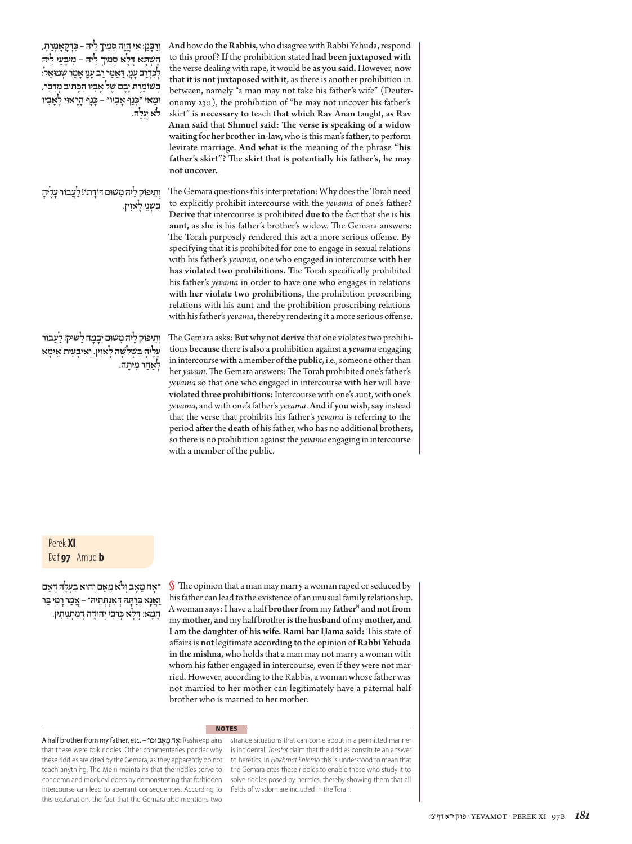**ּכְדָקָא ְמַרְּת, ְוַרָּבַנן: ִאיֲהָוה ְס ִמ ְיך ֵל ּיה – ִ ָהׁ ְשָּתא ְ ּדָלא ְס ִמ ְיך ֵל ּיה – ִמ ָּיבֵעי ֵל ּיה ְל ִכְדַרב ָעָנן, ַּדֲאַמרַרב ָעָנן ָאַמר ׁ ְש ּמוֵאל: ּכ ּתוב ְמַדֵּבר, ְּבׁש ֶוֹמֶרתָיָבם ֶׁשל ָא ִביו ַהָ ּכָנף ָהָר ּאוי ְלָא ִביו ּ״כַנף ָא ִביו״ – ָ ּוַמאי ְ ּלה. לֹא ְיַגֶ**

**And** how do **the Rabbis,** who disagree with Rabbi Yehuda, respond to this proof? **If** the prohibition stated **had been juxtaposed with**  the verse dealing with rape, it would be **as you said.** However, **now that it is not juxtaposed with it,** as there is another prohibition in between, namely "a man may not take his father's wife" (Deuteronomy 23:1), the prohibition of "he may not uncover his father's skirt" **is necessary to** teach **that which Rav Anan** taught, **as Rav Anan said** that **Shmuel said: Th e verse is speaking of a widow waiting for her brother-in-law,** who is this man's **father,** to perform levirate marriage. **And what** is the meaning of the phrase **"his**  father's skirt"? The skirt that is potentially his father's, he may **not uncover.**

**ְוֵת ּיפוֹק ֵל ּיה ִמּׁשּום ּד ָוֹדתוֹ! ַלֲעבוֹרָעֶל ָיה ִּבׁ ְשֵני ָל ִאוין.** 

The Gemara questions this interpretation: Why does the Torah need to explicitly prohibit intercourse with the *yevama* of one's father? **Derive** that intercourse is prohibited **due to** the fact that she is **his**  aunt, as she is his father's brother's widow. The Gemara answers: The Torah purposely rendered this act a more serious offense. By specifying that it is prohibited for one to engage in sexual relations with his father's *yevama*, one who engaged in intercourse **with her**  has violated two prohibitions. The Torah specifically prohibited his father's *yevama* in order **to** have one who engages in relations **with her violate two prohibitions,** the prohibition proscribing relations with his aunt and the prohibition proscribing relations with his father's *yevama*, thereby rendering it a more serious offense.

**ְוֵת ּיפוֹק ֵל ּיה ִמּׁשּום ְיָבָמה ַל ּׁשּוק! ַלֲעבוֹר ָעֶל ָיה ִּבׁ ְשלֹ ָׁשה ָל ִאוין. ְו ִא ָּיבֵעית ֵא ָימא ְלַאַחר ִמ ָיתה.**

The Gemara asks: But why not derive that one violates two prohibitions **because** there is also a prohibition against **a** *yevama* engaging in intercourse **with** a member of**the public,** i.e., someone other than her yavam. The Gemara answers: The Torah prohibited one's father's *yevama* so that one who engaged in intercourse **with her** will have **violated three prohibitions:** Intercourse with one's aunt, with one's *yevama*, and with one's father's *yevama*. **And if you wish, say** instead that the verse that prohibits his father's *yevama* is referring to the period **aft er** the **death** of his father, who has no additional brothers, so there is no prohibition against the *yevama* engaging in intercourse with a member of the public.

Perek **XI** Daf **97** Amud **b**

**ָ״אח ֵמָאב ְולֹא ֵמֵאם ְו ּהוא ַּב ְעָל ּה ְ ּדֵאם ַוֲאָנא ְּבַרָּת ּה ְ ּד ִאְנְּתֵת ּיה״ – ֲאַמרָרִמי ַּבר ּכַרִּבי ְי ּהוָדה ְ ּדַמ ְתִנ ִיתין. ָחָמא: ְ ּדָלא ְ**

 $\int$  The opinion that a man may marry a woman raped or seduced by his father can lead to the existence of an unusual family relationship. A woman says: I have a half **brother from** my father<sup>N</sup> and not from my**mother, and** my half brother **is the husband of** my**mother, and**  I am the daughter of his wife. Rami bar **Hama said:** This state of aff airs is **not** legitimate **according to** the opinion of **Rabbi Yehuda in the mishna,** who holds that a man may not marry a woman with whom his father engaged in intercourse, even if they were not married. However, according to the Rabbis, a woman whose father was not married to her mother can legitimately have a paternal half brother who is married to her mother.

#### **NOTES**

 A half brother from my father, etc. – **וכו׳ אבָמֵ אחָ**: Rashi explains that these were folk riddles. Other commentaries ponder why these riddles are cited by the Gemara, as they apparently do not teach anything. The Meiri maintains that the riddles serve to condemn and mock evildoers by demonstrating that forbidden intercourse can lead to aberrant consequences. According to this explanation, the fact that the Gemara also mentions two

strange situations that can come about in a permitted manner is incidental. *Tosafot* claim that the riddles constitute an answer to heretics. In *Ĥokhmat Shlomo* this is understood to mean that the Gemara cites these riddles to enable those who study it to solve riddles posed by heretics, thereby showing them that all fields of wisdom are included in the Torah.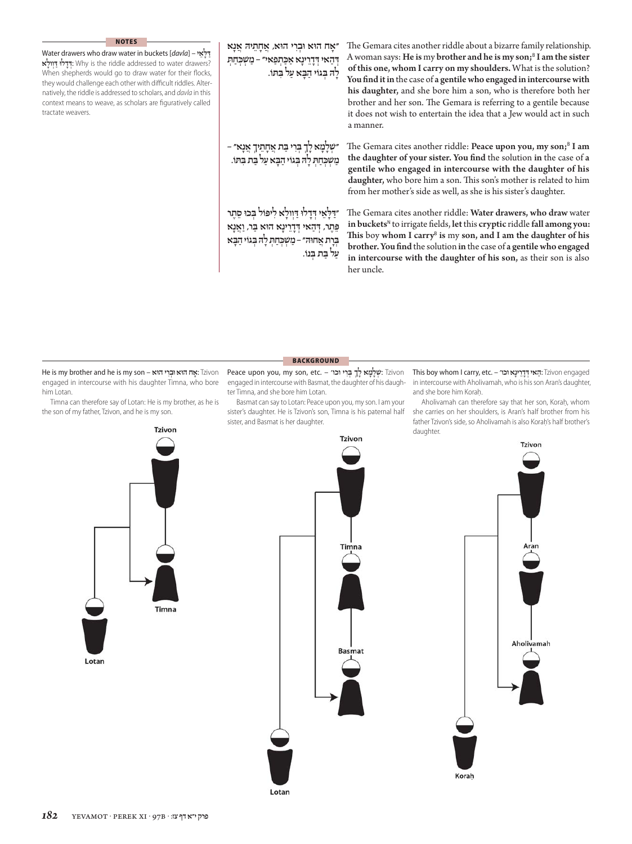| <b>NOTES</b><br>Water drawers who draw water in buckets [davla] – "<br>אַדָלוּ דַוולַא Why is the riddle addressed to water drawers?<br>When shepherds would go to draw water for their flocks,<br>they would challenge each other with difficult riddles. Alter-<br>natively, the riddle is addressed to scholars, and <i>davla</i> in this<br>context means to weave, as scholars are figuratively called<br>tractate weavers. | ״אָח הוּא וּבְרִי הוּא, אֲחָתִיהּ אֲנָא<br>אכתפאי״.<br>לה בגוי הבא על בתו.                                                           | The Gemara cites another riddle about a bizarre family relationship.<br>A woman says: He is my brother and he is my son; <sup>8</sup> I am the sister<br>of this one, whom I carry on my shoulders. What is the solution?<br>You find it in the case of a gentile who engaged in intercourse with<br>his daughter, and she bore him a son, who is therefore both her<br>brother and her son. The Gemara is referring to a gentile because<br>it does not wish to entertain the idea that a Jew would act in such<br>a manner. |
|----------------------------------------------------------------------------------------------------------------------------------------------------------------------------------------------------------------------------------------------------------------------------------------------------------------------------------------------------------------------------------------------------------------------------------|--------------------------------------------------------------------------------------------------------------------------------------|-------------------------------------------------------------------------------------------------------------------------------------------------------------------------------------------------------------------------------------------------------------------------------------------------------------------------------------------------------------------------------------------------------------------------------------------------------------------------------------------------------------------------------|
|                                                                                                                                                                                                                                                                                                                                                                                                                                  | ךְ בְּרִי בַּת אֲחָתֵיךָ אֲנָא″ –<br>משכחת לה בגוי הבא על בת בתו.                                                                    | The Gemara cites another riddle: Peace upon you, my son; <sup>8</sup> I am<br>the daughter of your sister. You find the solution in the case of a<br>gentile who engaged in intercourse with the daughter of his<br>daughter, who bore him a son. This son's mother is related to him<br>from her mother's side as well, as she is his sister's daughter.                                                                                                                                                                     |
|                                                                                                                                                                                                                                                                                                                                                                                                                                  | וא ליפול בכוּ סתר<br>פֵּתֶר, דְּהַאי דְּדָרֵינָא הוּא בַּר, וַאֲנָא<br>בְּרָת אֲחוּה" – מַשְׁכִּחַתְּ לַה בִּגוֹי הבּא<br>על בת בנו. | The Gemara cites another riddle: Water drawers, who draw water<br>in buckets <sup>N</sup> to irrigate fields, let this cryptic riddle fall among you:<br>This boy whom I carry <sup>8</sup> is my son, and I am the daughter of his<br>brother. You find the solution in the case of a gentile who engaged<br>in intercourse with the daughter of his son, as their son is also<br>her uncle.                                                                                                                                 |

**BACKGROUND** 

 He is my brother and he is my son – **הואּ ריִבְוּ הואּ אחָ**: Tzivon engaged in intercourse with his daughter Timna, who bore him Lotan.

Timna can therefore say of Lotan: He is my brother, as he is the son of my father, Tzivon, and he is my son.



engaged in intercourse with Basmat, the daughter of his daughter Timna, and she bore him Lotan.

Basmat can say to Lotan: Peace upon you, my son. I am your sister's daughter. He is Tzivon's son, Timna is his paternal half sister, and Basmat is her daughter.

 Tzivon : **ׁ ְשָלָמא ָל ְך ְּבִרי וכו׳** – .etc ,son my ,you upon Peace This boy whom I carry, etc. – **וכו׳ ינאָרֵדָדּ ְ האיַ**: Tzivon engaged in intercourse with Aholivamah, who is his son Aran's daughter, and she bore him Koraĥ.

Aholivamah can therefore say that her son, Koraḥ, whom she carries on her shoulders, is Aran's half brother from his father Tzivon's side, so Aholivamah is also Koraḥ's half brother's daughter.



Lotan

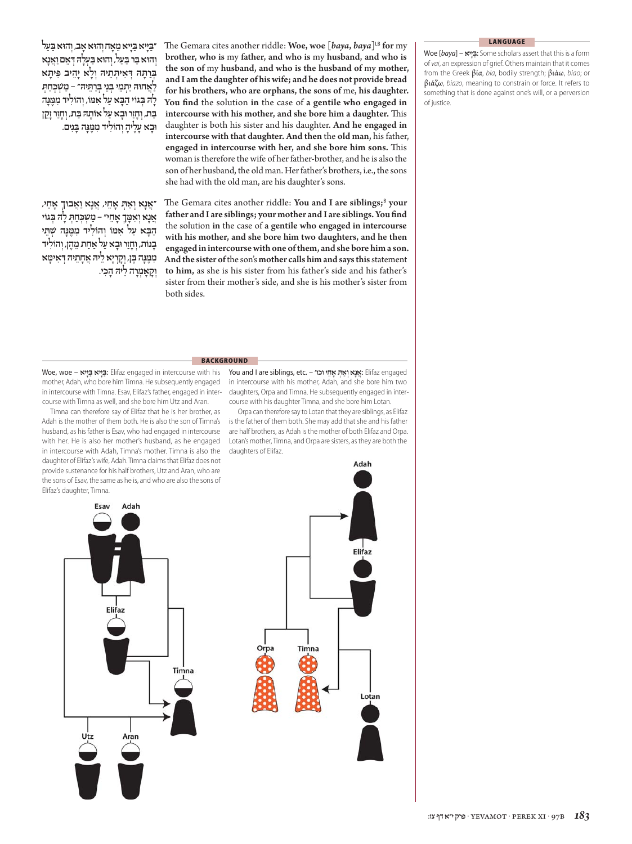**ַּ״בָייא ַּבָייא ֵמָאחְו ּהוא ָאב, ְו ּהוא ַּבַעל ְו ּהוא ַּבר ַּבַעל, ְו ּהוא ַּב ְעָל ּה ְ ּדֵאםַוֲאָנא ְּבַרָּת ּה ְ ּד ִא ְּיתֵת ּיה ְוָלא ָיֵהיב ִּפ ָּיתא ּכַח ְּת ַלֲא ּחו ּהַי ְתֵמי ְּבֵני ְּבַרֵּת ּיה״ – ַמׁ ְשְ ָל ּה ְּבגוֹי ַהָּבא ַעל ִא ּמוֹ, ְו ִהוֹליד ִמ ֶּמָּנה ַּבת, ְוָחַזר ּוָבא ַעל ָאוֹת ּה ַּבת, ְוָחַזרָזֵקן ּוָבא ָעֶל ָיה ְו ִהוֹליד ִמ ֶּמָּנה ָּבִנים.**  The Gemara cites another riddle: Woe, woe [*baya*, *baya*]<sup>LB</sup> for my **brother, who is** my **father, and who is** my **husband, and who is the son of** my **husband, and who is the husband of** my **mother, and I am the daughter of his wife; and he does not provide bread for his brothers, who are orphans, the sons of** me, **his daughter. You fi nd** the solution **in** the case of **a gentile who engaged in**  intercourse with his mother, and she bore him a daughter. This daughter is both his sister and his daughter. **And he engaged in intercourse with that daughter. And then** the **old man,** his father, engaged in intercourse with her, and she bore him sons. This woman is therefore the wife of her father-brother, and he is also the son of her husband, the old man. Her father's brothers, i.e., the sons she had with the old man, are his daughter's sons.

**ֲ״אָנא ְוַא ְּת ָאֵחי, ֲאָנאַוֲא ּבו ְך ָאֵחי, ּכַח ְּת ָל ּה ְּבגוֹי ֲאָנא ְו ִא ָּמ ְך ָאֵחי״ – ַמׁ ְשְ ַהָּבא ַעל ִא ּמוֹ ְו ִהוֹליד ִמ ֶּמָּנה ׁ ְש ֵּתי ָבנוֹת, ְוָחַזר ּוָבא ַעל ַאַחת ֵמֶהן, ְו ִהוֹליד ִמ ֶּמָּנה ֶּבן, ְוָקְרָיא ֵל ּיה ֲאָחֵת ּיה ְ ּד ִא ָּימא ְוָקָא ְמָרה ֵל ּיה ָה ִכי.** 

The Gemara cites another riddle: You and I are siblings;<sup>8</sup> your father and I are siblings; your mother and I are siblings. You find the solution **in** the case of **a gentile who engaged in intercourse with his mother, and she bore him two daughters, and he then engaged in intercourse with one of them, and she bore him a son. And the sister of** the son's **mother calls him and says this** statement **to him,** as she is his sister from his father's side and his father's sister from their mother's side, and she is his mother's sister from both sides.

#### **BACKGROUND**

 Woe, woe – **ייאָבַּ ייאָבַּ**: Elifaz engaged in intercourse with his mother, Adah, who bore him Timna. He subsequently engaged in intercourse with Timna. Esav, Elifaz's father, engaged in intercourse with Timna as well, and she bore him Utz and Aran.

Timna can therefore say of Elifaz that he is her brother, as Adah is the mother of them both. He is also the son of Timna's husband, as his father is Esav, who had engaged in intercourse with her. He is also her mother's husband, as he engaged in intercourse with Adah, Timna's mother. Timna is also the daughter of Elifaz's wife, Adah. Timna claims that Elifaz does not provide sustenance for his half brothers, Utz and Aran, who are the sons of Esav, the same as he is, and who are also the sons of Elifaz's daughter, Timna.

 engaged Elifaz **ֲ**:**אָנא ְוַא ְּת ָאֵחי וכו׳** – .etc ,siblings are I and You in intercourse with his mother, Adah, and she bore him two daughters, Orpa and Timna. He subsequently engaged in intercourse with his daughter Timna, and she bore him Lotan.

Orpa can therefore say to Lotan that they are siblings, as Elifaz is the father of them both. She may add that she and his father are half brothers, as Adah is the mother of both Elifaz and Orpa. Lotan's mother, Timna, and Orpa are sisters, as they are both the daughters of Elifaz.





#### **LANGUAGE**

 Woe [*baya*] – **ייאָבַּ**: Some scholars assert that this is a form of *vai*, an expression of grief. Others maintain that it comes from the Greek βία, *bia*, bodily strength; βιάω, *biao*; or βιάζω, *biazo*, meaning to constrain or force. It refers to something that is done against one's will, or a perversion of justice.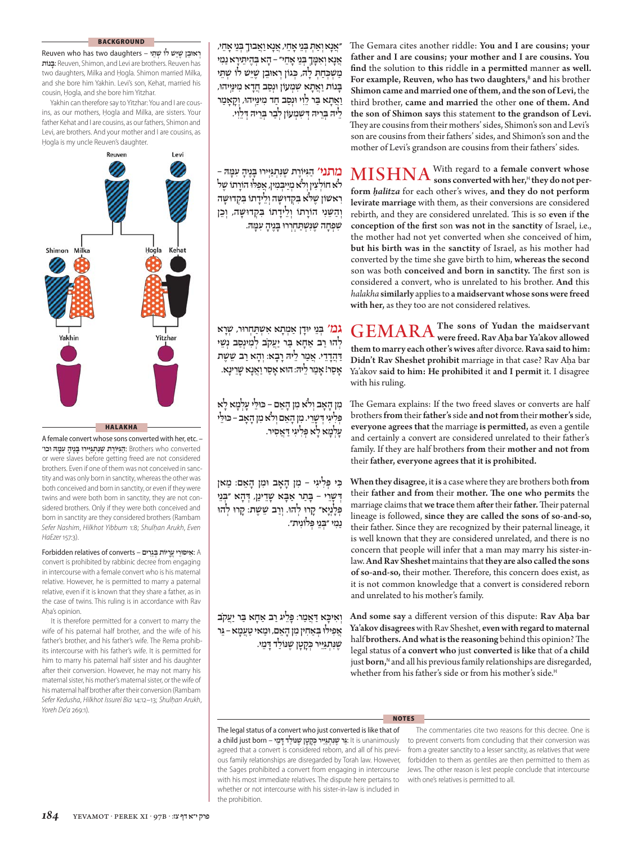## **BACKGROUND**

**P Peuven** who has two daughters – **יִשְׁתֵּי** – Reuven who has two daughters **בנוֹתָּ**: Reuven, Shimon, and Levi are brothers. Reuven has two daughters, Milka and Hogla. Shimon married Milka, and she bore him Yakhin. Levi's son, Kehat, married his cousin, Ḥogla, and she bore him Yitzhar.

Yakhin can therefore say to Yitzhar: You and I are cousins, as our mothers, Ĥogla and Milka, are sisters. Your father Kehat and I are cousins, as our fathers, Shimon and Levi, are brothers. And your mother and I are cousins, as Ĥogla is my uncle Reuven's daughter.



 A female convert whose sons converted with her, etc. – **ּנְתַּגְיּ ּ ירו ָּבֶנ ָיה ִע ָּמ ּה וכו׳** converted who Brothers **ַ**:**הִּג ֶיּוֹרת ֶׁשִ** or were slaves before getting freed are not considered brothers. Even if one of them was not conceived in sanctity and was only born in sanctity, whereas the other was both conceived and born in sanctity, or even if they were twins and were both born in sanctity, they are not considered brothers. Only if they were both conceived and born in sanctity are they considered brothers (Rambam *Sefer Nashim*, *Hilkhot Yibbum* 1:8; *Shulĥan Arukh*, *Even HaEzer* 157:3).

 A : **ִא ּיסּוֵריֲעָריוֹת ְּבֵגִרים** – converts of relatives Forbidden convert is prohibited by rabbinic decree from engaging in intercourse with a female convert who is his maternal relative. However, he is permitted to marry a paternal relative, even if it is known that they share a father, as in the case of twins. This ruling is in accordance with Rav Aĥa's opinion.

It is therefore permitted for a convert to marry the wife of his paternal half brother, and the wife of his father's brother, and his father's wife. The Rema prohibits intercourse with his father's wife. It is permitted for him to marry his paternal half sister and his daughter after their conversion. However, he may not marry his maternal sister, his mother's maternal sister, or the wife of his maternal half brother after their conversion (Rambam *Sefer Kedusha*, *Hilkhot Issurei Bia* 14:12–13; *Shulĥan Arukh*, *Yoreh De'a* 269:1).

**ֲ״אָנאְוַא ְּת ְּבֵני ָאֵחי, ֲאָנאַוֲא ּבו ְך ְּבֵני ָאֵחי, ֲאָנאְו ִא ָּמ ְך ְּבֵני ָאֵחי״ – ָהא ְּבֶה ֵּיתָיראַנִמי ּכגוֹן ְר ּאוֵבן ֶׁשֵיּׁש לוֹ ׁ ְשֵּתי ּכַח ְּת ָל ּה, ְ ַמׁ ְשְ ָּבנוֹתַוֲאָתא ׁ ִשְמעוֹן ּוְנַסב ֲחָדא ִמ ַּינְי ּ יהו, ַוֲאָתא ַּבר ֵלִוי ּוְנַסב ַחד ִמ ַּינְי ּ יהו, ְוָקָאַמר ֵל ּיה ְּבֵר ּיה ְ ּד ׁ ִשְמעוֹן ְלַבר ְּבֵר ּיה ְ ּדֵלִוי.**

**ּנְתַּגְיּ ּ ירו ָּבֶנ ָיה ִע ָּמ ּה – מתני׳ ַהִּג ֶיּוֹרת ֶׁשִ לֹא ְחוֹל ִצין ְולֹא ְמַי ְּיב ִמין, ֲא ִפ ּלּו ָהוֹרתוֹ ֶׁשל ִר ׁאשוֹן ֶׁשּלֹא ִּב ְק ּדו ָּׁשה ְוֵל ָידתוֹ ִּב ְק ּדו ָּׁשה ְוַה ֵּׁשִני ָהוֹרתוֹ ְוֵל ָידתוֹ ִּב ְק ּדו ָּׁשה, ְוֵכן ּנׁ ְשַּת ְחְר ּרו ָּבֶנ ָיה ִע ָּמ ּה. ׁ ִשְפָחה ֶׁשִ**

גמ׳ בְּנֵי יּדָן אַמְתָא אִשְׁתַּחְרוּר, שְׁרָא<br>לְהוּ רַב אַחַא בַּר יַעֲקֹב לְמֵינְסַב נִשֶּׁי **ַּדֲהָדֵדי. ֲאַמר ֵל ּיהָרָבא: ְוָהאַרב ֵׁשֶׁשת ָאַסר! ָאַמרֵל ּיה: ּהוא ָאַסרַוֲאָנא ָׁשֵרָינא.** 

**ּלי ָעְלָמא ָלא ִמן ָהָאב ְולֹא ִמן ָהֵאם – ּכּוֵ ְּפ ִל ִיגי ְ ּד ָׁשֵרי. ִמן ָהֵאם ְולֹא ִמן ָהָאב – ּכּוֵּלי ָעְלָמא ָלא ְּפ ִל ִיגיַּדֲא ִסיר.** 

**ּכי ְּפ ִל ִיגי – ִמן ָהָאב ּו ִמן ָהֵאם: ַמאן ִ ְ ּד ָׁשֵרי – ָּבַתר ַאָּבא ָׁשֵד ַינן, ְ ּדָהא ְּ״בֵני ְּפָלְנָיא״ ָק ּרו ְל ּהו. ְוַרב ֵׁשֶׁשת: ָק ּרו ְל ּהו ַנִמי ְּ״בֵני ְּפ ִלוֹנית״.** 

**ּיכא ַּדֲאַמר: ָּפֵליגַרב ַאָחא ַּברַיֲעקֹב ְו ִא ָ ֲא ִפ ּילּו ְּבַא ִחין ִמן ָהֵאם, ּוַמאי ַטֲעָמא – ֵּגר ּכָקָטן ֶׁשּנ ַוֹלדָּדֵמי. ּנְתַּגֵיּיר ְ ֶׁשִ**

The Gemara cites another riddle: You and I are cousins; your **father and I are cousins; your mother and I are cousins. You**  find the solution to this riddle in a permitted manner as well. For example, Reuven, who has two daughters,<sup>B</sup> and his brother **Shimon came and married one of them, and the son of Levi,** the third brother, **came and married** the other **one of them. And the son of Shimon says** this statement **to the grandson of Levi.**  They are cousins from their mothers' sides, Shimon's son and Levi's son are cousins from their fathers' sides, and Shimon's son and the mother of Levi's grandson are cousins from their fathers' sides.

 $\bf{MISHNA}^{\text{With regard to a female convert whose}}$ **form** *ĥalitza* for each other's wives, **and they do not perform levirate marriage** with them, as their conversions are considered rebirth, and they are considered unrelated. This is so even if the **conception of the fi rst** son **was not in** the **sanctity** of Israel, i.e., the mother had not yet converted when she conceived of him, **but his birth was in** the **sanctity** of Israel, as his mother had converted by the time she gave birth to him, **whereas the second**  son was both **conceived and born in sanctity.** The first son is considered a convert, who is unrelated to his brother. **And** this *halakha* **similarly** applies to **a maidservant whose sons were freed with her,** as they too are not considered relatives.

 $\operatorname{GEMARA}^{\text{The sons of Yudan the midserverant}}$ them to marry each other's wives after divorce. Rava said to him: **Didn't Rav Sheshet prohibit** marriage in that case? Rav Aĥa bar Ya'akov **said to him: He prohibited** it **and I permit** it. I disagree with his ruling.

The Gemara explains: If the two freed slaves or converts are half brothers **from** their **father's** side **and not from** their **mother's** side, **everyone agrees that** the marriage **is permitt ed,** as even a gentile and certainly a convert are considered unrelated to their father's family. If they are half brothers **from** their **mother and not from**  their **father, everyone agrees that it is prohibited.**

**When they disagree,** it **is** a case where they are brothers both **from**  their **father and from** their **mother. Th e one who permits** the marriage claims that we trace them after their father. Their paternal lineage is followed, **since they are called the sons of so-and-so,**  their father. Since they are recognized by their paternal lineage, it is well known that they are considered unrelated, and there is no concern that people will infer that a man may marry his sister-inlaw. **And Rav Sheshet** maintains that**they are also called the sons**  of so-and-so, their mother. Therefore, this concern does exist, as it is not common knowledge that a convert is considered reborn and unrelated to his mother's family.

And some say a different version of this dispute: Rav Aha bar **Ya'akov disagrees** with Rav Sheshet, **even with regard to maternal**  half **brothers. And what is the reasoning** behind this opinion? The legal status of **a convert who** just **converted** is **like** that of **a child**  just born,<sup>N</sup> and all his previous family relationships are disregarded, whether from his father's side or from his mother's side.<sup>H</sup>

#### **NOTES**

 The legal status of a convert who just converted is like that of **ּכָקָטן ֶׁשּנ ַוֹלדָּדֵמי** – born just child a **ּנְתַּגֵיּיר ְ ִשֶׁ גרֵּ**: It is unanimously agreed that a convert is considered reborn, and all of his previous family relationships are disregarded by Torah law. However, the Sages prohibited a convert from engaging in intercourse with his most immediate relatives. The dispute here pertains to whether or not intercourse with his sister-in-law is included in the prohibition.

The commentaries cite two reasons for this decree. One is to prevent converts from concluding that their conversion was from a greater sanctity to a lesser sanctity, as relatives that were forbidden to them as gentiles are then permitted to them as Jews. The other reason is lest people conclude that intercourse with one's relatives is permitted to all.